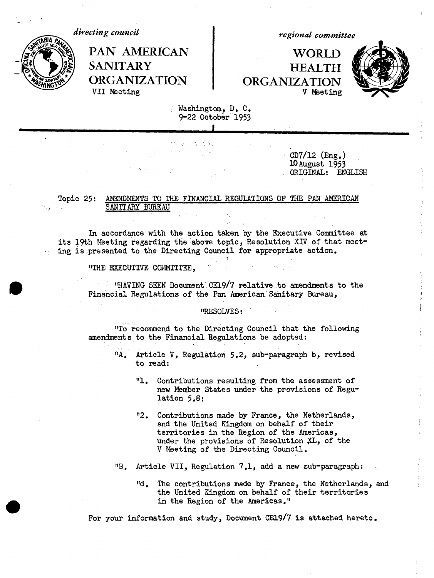*directing council*



PAN AMERICAN | WORLD VII Meeting

*regional committee*

SANITARY **HEALTH ORGANIZATION** ORGANIZATION<br>VII Meeting V Meeting



Washington., D. C. 9-22 October 1953

> $CD7/12$  (Eng.) 10August 1953 ORIGINAL: ENGLISH

Topic 25: AMENDMENTS TO THE FINANCIAL REGULATIONS OF THE PAN AMERICAN SANITARY BUREAU

In accordance with the action taken by the Executive Committee at its 19th Meeting regarding the above topic, Resolution XIV of that meeting is presented to the Directing Council for appropriate action.

"THE EXECUTIVE COMMITTEE,

 $\cdot$  "HAVING SEEN Document CE19/7 relative to amendments to the Financial Regulations of the Pan American-Sanitary Bureau,

"RESOLVES:

"TO recommend to the Directing Council that the following amendments to the Financial Regulations be adopted:

- "A. Article V, Regulation 5.2, sub-paragraph b, revised to read:
	- "1. Contributions resulting from the assessment of new Member States under the provisions of Regulation 5,8;
	- "2. Contributions made by France, the Netherlands, and the United Kingdom on behalf of their territories in the Region of the Americas, under the provisions of Resolution XL, of the V Meeting of the Directing Council.

"B. Article VII, Regulation 7.1, add a new sub-paragraph:

"d. The contributions made by France, the Netherlands, and the United Kingdom on behalf of their territories in the Region of the Americas."

For your information and study, Document CE19/7 is attached hereto.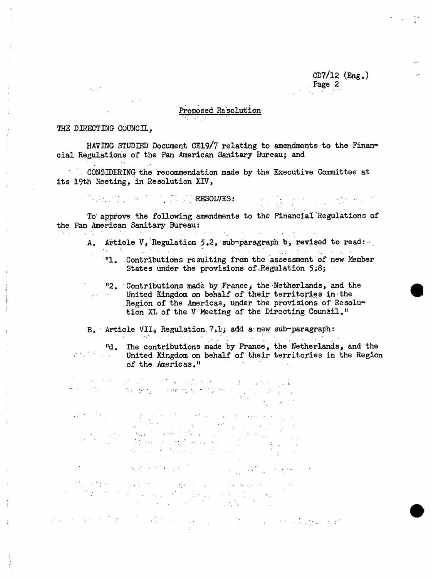CD7/12 (Eng.) Page 2

 $\begin{split} \frac{1}{2\pi} \left( \frac{1}{2} \sum_{i=1}^n \frac{1}{2} \sum_{j=1}^n \frac{1}{2} \sum_{j=1}^n \frac{1}{2} \sum_{j=1}^n \frac{1}{2} \sum_{j=1}^n \frac{1}{2} \sum_{j=1}^n \frac{1}{2} \sum_{j=1}^n \frac{1}{2} \sum_{j=1}^n \frac{1}{2} \sum_{j=1}^n \frac{1}{2} \sum_{j=1}^n \frac{1}{2} \sum_{j=1}^n \frac{1}{2} \sum_{j=1}^n \frac{1}{2} \sum_{j$ 

# Proposed Re'solution

### THE DIRECTING COUNCIL,

 $\mathcal{L}_{\mathcal{A}}$  and  $\mathcal{L}_{\mathcal{A}}$  .

HAVING STUDIED Document CE19/7 relating to amendments to the Financial Regulations of the Pan American Sanitary Bureau; and

CONSIDERING the recommendation made by the Executive Committee at its 19th Meeting, in Resolution XIV,

-  $\mathbb{Z}_2$  -in a set of  $\mathbb{Z}_2$  -in  $\mathbb{Z}_2$  resolves:

To approve the following amendments to the Financial Regulations of the Pan American Sanitary Bureau:

- A. Article V, Regulation 5.2, sub-paragraph b, revised to read:
	- "1. Contributions resulting from the assessment of new Member States under the provisions of Regulation 5.8;
	- "2. Contributions made by France, the Netherlands, and the United Kingdom on behalf of their territories in the Region of the Americas, under the provisions of Resolution XL of the V Meeting of the Directing Council."

B. Article VII., Regulation 7.1, add a new sub-paragraph:

 $\alpha$ 

"d. The contributions made by France, the Netherlands, and the<br>United Kingdom on behalf of their territories in the Region United Kingdom on behalf of their territories in the Region of the Americas."

.: ¢

 $\mathcal{L}_{\mathcal{A}}$  and  $\mathcal{L}_{\mathcal{A}}$  and  $\mathcal{L}_{\mathcal{A}}$  are the set of  $\mathcal{L}_{\mathcal{A}}$ 

and the most of the problem of the computation of the computation

and the second interest of the first of the second company of the second control adapted to the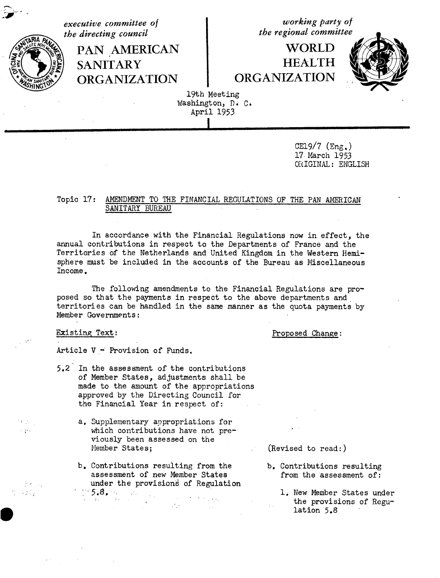*executive committee of the directing council*

> **PAN AMERICAN SANITARY ORGANIZATION**

*working party of the regional committee*

 $\rm WORLD$ **HEALTH ORGANIZATION**



19th Meeting Washington, D. C. April 1953

I

CE19/7 (Eng.) 17 March 1953 ORIGINAL: ENGLISH

# Topic 17: AMENDMENT TO THE FINANCIAL REGULATIONS OF THE PAN AMERICAN SANITARY BUREAU

In accordance with the Financial Regulations now in effect, the annual contributions in respect to the Departments of France and the Territories of the Netherlands and United Kingdom in the Western Hemisphere must be included in the accounts of the Bureau as Miscellaneous Income.

The following amendments to the Financial Regulations are proposed so that the payments in respect to the above departments and territories can be handled in the same manner as the quota payments by Member Governments:

ಾನ್ಸ್

大学の 人物

 $\sim 10^{11}$ 

Existing Text: Proposed Change:

Article V - Provision of Funds.

- 5.2 In the assessment of the contributions of Member States, adjustments shall be made to the amount of the appropriations approved by the Directing Council for the Financial Year in respect of:
	- a, Supplementary appropriations for which contributions have not previously been assessed on the Member States;
	- b. Contributions resulting from the assessment of new Member States under the provisions of Regulation  $5.8.$   $\ldots$  ;  $\ldots$  ;  $\sim 10$

 $\sim 10$ 

(Revised to read:)

- b. Contributions resulting from the assessment of:
	- 1. New Member States under the provisions of Regulation 5.8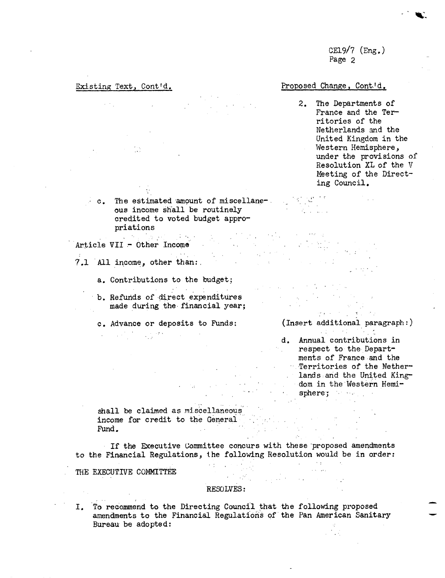CE19/7  $(\text{Eng.})$ Page 2

## Existing Text, Cont'd. Proposed Change, Cont'd.

2. The Departments of France and the Territories of the Netherlands and the United Kingdom in the Western Hemisphere, under the provisions of Resolution XL of the V Meeting of the Directing Council.

c. The estimated amount of miscellaneous income shall be routinely credited to voted budget appropriations 

Article VII - Other Income

- 7.1 All income, other than:.
	- a. Contributions to the budget;
	- b. Refunds of direct expenditures made during the financial year;

 $\mathcal{L}(\mathcal{L}^{\mathcal{L}})$  and  $\mathcal{L}^{\mathcal{L}}$  are the set of the set of the set of  $\mathcal{L}^{\mathcal{L}}$ 

- 
- 
- c. Advance or deposits to Funds: (Insert additional paragraph:)
	- d. Annual contributions in **Prespect to the Depart**ments of France and the Territories of the Netherlands :and the United Kingdom in the Western Hemi $sphere;$

 $\label{eq:3.1} \mathcal{L}^{\mathcal{A}}(\mathcal{D}_{\mathcal{A}}^{\mathcal{A}}(\mathcal{A}))=\mathcal{L}^{\mathcal{A}}(\mathcal{D}_{\mathcal{A}}^{\mathcal{A}}(\mathcal{A}))$ 

n, 2

shall be claimed as miscellaneous income for credit to the General<br>Fund. Fund.

If the Executive Committee concurs with these proposed amendments to the Financial Regulations, the following Resolution would be in order:<br>THE EXECULTUE CONSTREE

THE EXECUTIVE COMMITTEE

### RESOLVES:

I. To recommend to the Directing Council that the following proposed amendments to the Financial Regulations of the Pan American Sanitary Bureau be adopted: